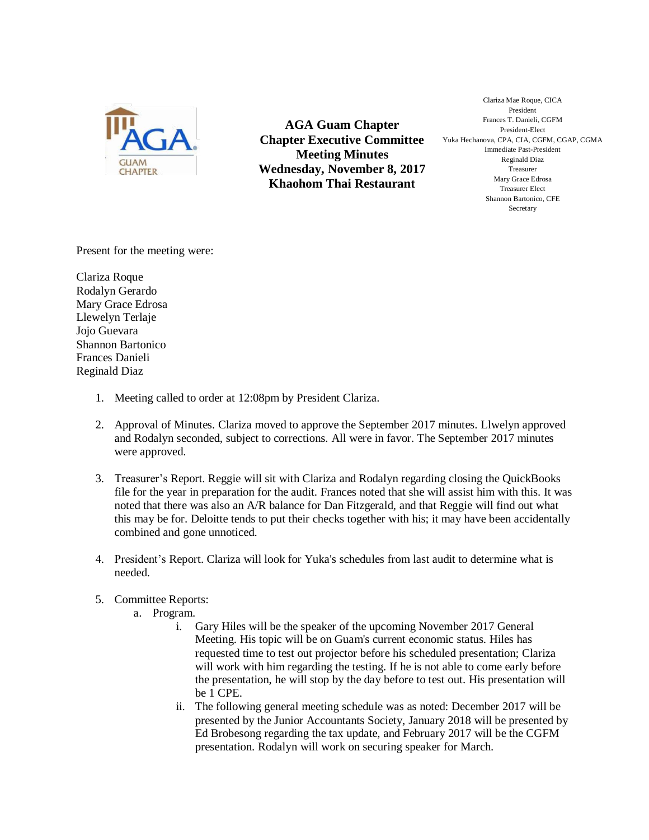

**AGA Guam Chapter Chapter Executive Committee Meeting Minutes Wednesday, November 8, 2017 Khaohom Thai Restaurant**

Clariza Mae Roque, CICA President Frances T. Danieli, CGFM President-Elect Yuka Hechanova, CPA, CIA, CGFM, CGAP, CGMA Immediate Past-President Reginald Diaz Treasurer Mary Grace Edrosa Treasurer Elect Shannon Bartonico, CFE **Secretary** 

Present for the meeting were:

Clariza Roque Rodalyn Gerardo Mary Grace Edrosa Llewelyn Terlaje Jojo Guevara Shannon Bartonico Frances Danieli Reginald Diaz

- 1. Meeting called to order at 12:08pm by President Clariza.
- 2. Approval of Minutes. Clariza moved to approve the September 2017 minutes. Llwelyn approved and Rodalyn seconded, subject to corrections. All were in favor. The September 2017 minutes were approved.
- 3. Treasurer's Report. Reggie will sit with Clariza and Rodalyn regarding closing the QuickBooks file for the year in preparation for the audit. Frances noted that she will assist him with this. It was noted that there was also an A/R balance for Dan Fitzgerald, and that Reggie will find out what this may be for. Deloitte tends to put their checks together with his; it may have been accidentally combined and gone unnoticed.
- 4. President's Report. Clariza will look for Yuka's schedules from last audit to determine what is needed.
- 5. Committee Reports:
	- a. Program.
		- i. Gary Hiles will be the speaker of the upcoming November 2017 General Meeting. His topic will be on Guam's current economic status. Hiles has requested time to test out projector before his scheduled presentation; Clariza will work with him regarding the testing. If he is not able to come early before the presentation, he will stop by the day before to test out. His presentation will be 1 CPE.
		- ii. The following general meeting schedule was as noted: December 2017 will be presented by the Junior Accountants Society, January 2018 will be presented by Ed Brobesong regarding the tax update, and February 2017 will be the CGFM presentation. Rodalyn will work on securing speaker for March.